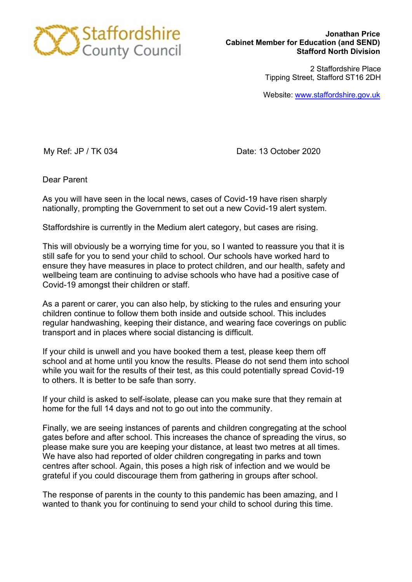

2 Staffordshire Place Tipping Street, Stafford ST16 2DH

Website: [www.staffordshire.gov.uk](http://www.staffordshire.gov.uk/)

My Ref: JP / TK 034 Date: 13 October 2020

Dear Parent

As you will have seen in the local news, cases of Covid-19 have risen sharply nationally, prompting the Government to set out a new Covid-19 alert system.

Staffordshire is currently in the Medium alert category, but cases are rising.

This will obviously be a worrying time for you, so I wanted to reassure you that it is still safe for you to send your child to school. Our schools have worked hard to ensure they have measures in place to protect children, and our health, safety and wellbeing team are continuing to advise schools who have had a positive case of Covid-19 amongst their children or staff.

As a parent or carer, you can also help, by sticking to the rules and ensuring your children continue to follow them both inside and outside school. This includes regular handwashing, keeping their distance, and wearing face coverings on public transport and in places where social distancing is difficult.

If your child is unwell and you have booked them a test, please keep them off school and at home until you know the results. Please do not send them into school while you wait for the results of their test, as this could potentially spread Covid-19 to others. It is better to be safe than sorry.

If your child is asked to self-isolate, please can you make sure that they remain at home for the full 14 days and not to go out into the community.

Finally, we are seeing instances of parents and children congregating at the school gates before and after school. This increases the chance of spreading the virus, so please make sure you are keeping your distance, at least two metres at all times. We have also had reported of older children congregating in parks and town centres after school. Again, this poses a high risk of infection and we would be grateful if you could discourage them from gathering in groups after school.

The response of parents in the county to this pandemic has been amazing, and I wanted to thank you for continuing to send your child to school during this time.